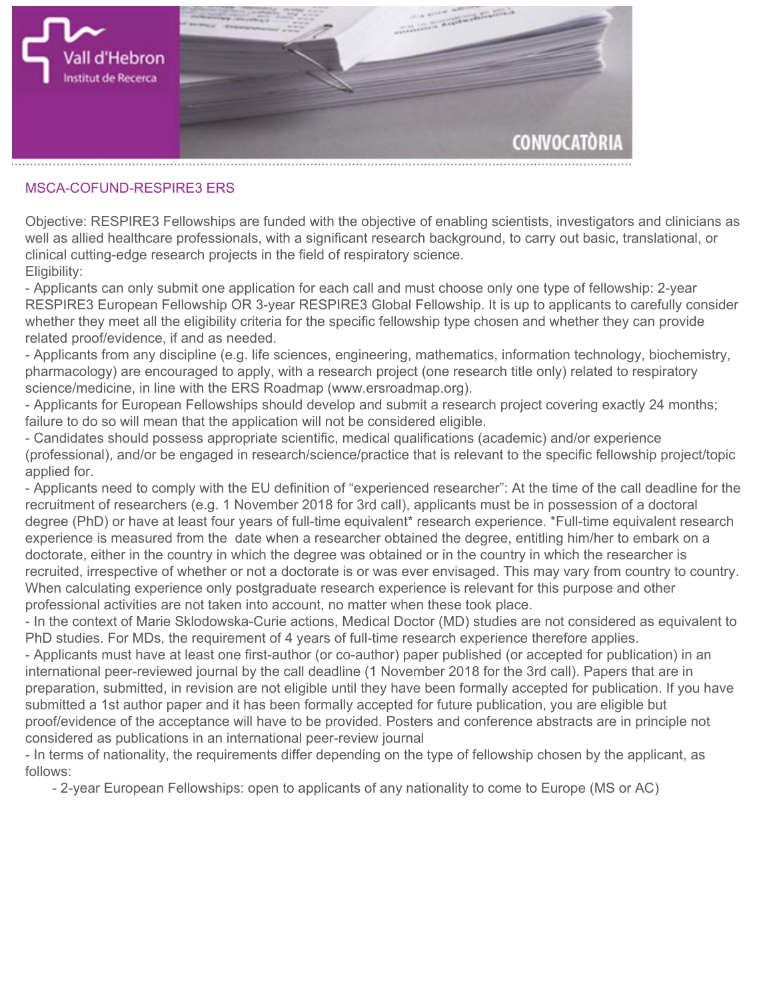

## **MSCA-COFUND-RESPIRE3 ERS**

**Objective: RESPIRE3 Fellowships are funded with the objective of enabling scientists, investigators and clinicians as well as allied healthcare professionals, with a significant research background, to carry out basic, translational, or clinical cutting-edge research projects in the field of respiratory science. Eligibility:**

**- Applicants can only submit one application for each call and must choose only one type of fellowship: 2-year RESPIRE3 European Fellowship OR 3-year RESPIRE3 Global Fellowship. It is up to applicants to carefully consider whether they meet all the eligibility criteria for the specific fellowship type chosen and whether they can provide related proof/evidence, if and as needed.**

**- Applicants from any discipline (e.g. life sciences, engineering, mathematics, information technology, biochemistry, pharmacology) are encouraged to apply, with a research project (one research title only) related to respiratory science/medicine, in line with the ERS Roadmap (www.ersroadmap.org).**

**- Applicants for European Fellowships should develop and submit a research project covering exactly 24 months; failure to do so will mean that the application will not be considered eligible.**

**- Candidates should possess appropriate scientific, medical qualifications (academic) and/or experience (professional), and/or be engaged in research/science/practice that is relevant to the specific fellowship project/topic applied for.**

**- Applicants need to comply with the EU definition of "experienced researcher": At the time of the call deadline for the recruitment of researchers (e.g. 1 November 2018 for 3rd call), applicants must be in possession of a doctoral degree (PhD) or have at least four years of full-time equivalent\* research experience. \*Full-time equivalent research experience is measured from the date when a researcher obtained the degree, entitling him/her to embark on a doctorate, either in the country in which the degree was obtained or in the country in which the researcher is recruited, irrespective of whether or not a doctorate is or was ever envisaged. This may vary from country to country. When calculating experience only postgraduate research experience is relevant for this purpose and other professional activities are not taken into account, no matter when these took place.**

**- In the context of Marie Sklodowska-Curie actions, Medical Doctor (MD) studies are not considered as equivalent to PhD studies. For MDs, the requirement of 4 years of full-time research experience therefore applies.**

**- Applicants must have at least one first-author (or co-author) paper published (or accepted for publication) in an international peer-reviewed journal by the call deadline (1 November 2018 for the 3rd call). Papers that are in preparation, submitted, in revision are not eligible until they have been formally accepted for publication. If you have submitted a 1st author paper and it has been formally accepted for future publication, you are eligible but proof/evidence of the acceptance will have to be provided. Posters and conference abstracts are in principle not considered as publications in an international peer-review journal**

**- In terms of nationality, the requirements differ depending on the type of fellowship chosen by the applicant, as follows:**

 **- 2-year European Fellowships: open to applicants of any nationality to come to Europe (MS or AC)**